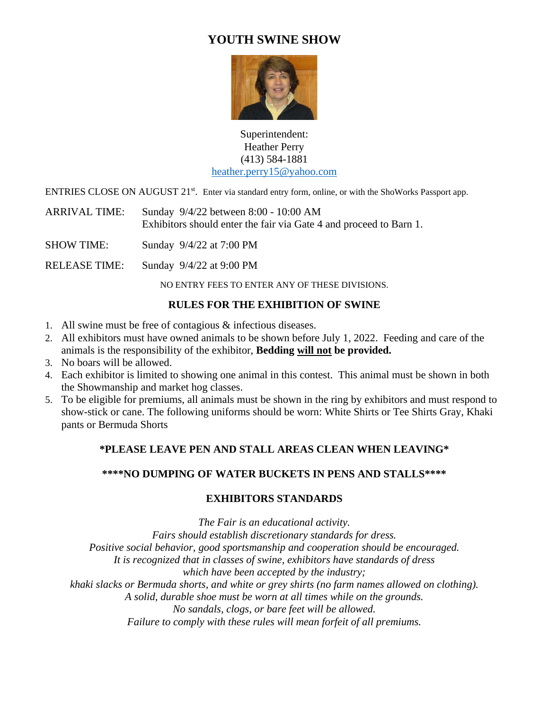# **YOUTH SWINE SHOW**



Superintendent: Heather Perry (413) 584-1881 [heather.perry15@yahoo.com](mailto:heather.perry15@comcast.net)

ENTRIES CLOSE ON AUGUST 21<sup>st</sup>. Enter via standard entry form, online, or with the ShoWorks Passport app.

ARRIVAL TIME: Sunday 9/4/22 between 8:00 - 10:00 AM Exhibitors should enter the fair via Gate 4 and proceed to Barn 1.

SHOW TIME: Sunday 9/4/22 at 7:00 PM

RELEASE TIME: Sunday 9/4/22 at 9:00 PM

NO ENTRY FEES TO ENTER ANY OF THESE DIVISIONS.

#### **RULES FOR THE EXHIBITION OF SWINE**

- 1. All swine must be free of contagious & infectious diseases.
- 2. All exhibitors must have owned animals to be shown before July 1, 2022. Feeding and care of the animals is the responsibility of the exhibitor, **Bedding will not be provided.**
- 3. No boars will be allowed.
- 4. Each exhibitor is limited to showing one animal in this contest. This animal must be shown in both the Showmanship and market hog classes.
- 5. To be eligible for premiums, all animals must be shown in the ring by exhibitors and must respond to show-stick or cane. The following uniforms should be worn: White Shirts or Tee Shirts Gray, Khaki pants or Bermuda Shorts

# **\*PLEASE LEAVE PEN AND STALL AREAS CLEAN WHEN LEAVING\***

# **\*\*\*\*NO DUMPING OF WATER BUCKETS IN PENS AND STALLS\*\*\*\***

#### **EXHIBITORS STANDARDS**

*The Fair is an educational activity. Fairs should establish discretionary standards for dress. Positive social behavior, good sportsmanship and cooperation should be encouraged. It is recognized that in classes of swine, exhibitors have standards of dress which have been accepted by the industry; khaki slacks or Bermuda shorts, and white or grey shirts (no farm names allowed on clothing). A solid, durable shoe must be worn at all times while on the grounds. No sandals, clogs, or bare feet will be allowed.*

*Failure to comply with these rules will mean forfeit of all premiums.*